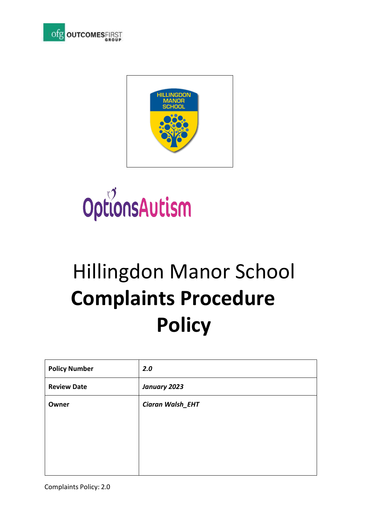





# Hillingdon Manor School  **Complaints Procedure Policy**

| <b>Policy Number</b> | 2.0              |
|----------------------|------------------|
| <b>Review Date</b>   | January 2023     |
| Owner                | Ciaran Walsh_EHT |
|                      |                  |
|                      |                  |
|                      |                  |
|                      |                  |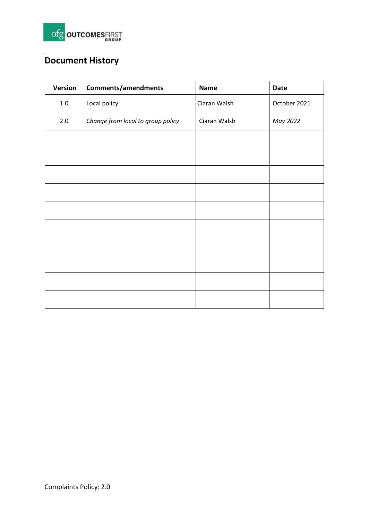

# **Document History**

| Version | Comments/amendments               | <b>Name</b>  | Date         |
|---------|-----------------------------------|--------------|--------------|
| $1.0\,$ | Local policy                      | Ciaran Walsh | October 2021 |
| 2.0     | Change from local to group policy | Ciaran Walsh | May 2022     |
|         |                                   |              |              |
|         |                                   |              |              |
|         |                                   |              |              |
|         |                                   |              |              |
|         |                                   |              |              |
|         |                                   |              |              |
|         |                                   |              |              |
|         |                                   |              |              |
|         |                                   |              |              |
|         |                                   |              |              |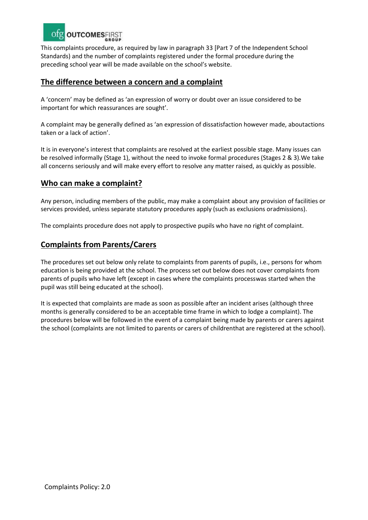

This complaints procedure, as required by law in paragraph 33 [Part 7 of the Independent School Standards) and the number of complaints registered under the formal procedure during the preceding school year will be made available on the school's website.

#### **The difference between a concern and a complaint**

A 'concern' may be defined as 'an expression of worry or doubt over an issue considered to be important for which reassurances are sought'.

A complaint may be generally defined as 'an expression of dissatisfaction however made, aboutactions taken or a lack of action'.

It is in everyone's interest that complaints are resolved at the earliest possible stage. Many issues can be resolved informally (Stage 1), without the need to invoke formal procedures (Stages 2 & 3).We take all concerns seriously and will make every effort to resolve any matter raised, as quickly as possible.

#### **Who can make a complaint?**

Any person, including members of the public, may make a complaint about any provision of facilities or services provided, unless separate statutory procedures apply (such as exclusions oradmissions).

The complaints procedure does not apply to prospective pupils who have no right of complaint.

#### **Complaints from Parents/Carers**

The procedures set out below only relate to complaints from parents of pupils, i.e., persons for whom education is being provided at the school. The process set out below does not cover complaints from parents of pupils who have left (except in cases where the complaints processwas started when the pupil was still being educated at the school).

It is expected that complaints are made as soon as possible after an incident arises (although three months is generally considered to be an acceptable time frame in which to lodge a complaint). The procedures below will be followed in the event of a complaint being made by parents or carers against the school (complaints are not limited to parents or carers of childrenthat are registered at the school).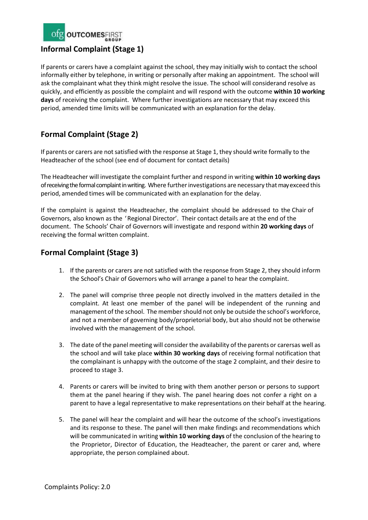

If parents or carers have a complaint against the school, they may initially wish to contact the school informally either by telephone, in writing or personally after making an appointment. The school will ask the complainant what they think might resolve the issue. The school will considerand resolve as quickly, and efficiently as possible the complaint and will respond with the outcome **within 10 working days** of receiving the complaint. Where further investigations are necessary that may exceed this period, amended time limits will be communicated with an explanation for the delay.

# **Formal Complaint (Stage 2)**

If parents or carers are not satisfied with the response at Stage 1, they should write formally to the Headteacher of the school (see end of document for contact details)

The Headteacher will investigate the complaint further and respond in writing **within 10 working days** of receiving the formal complaint in writing. Where further investigations are necessary that may exceed this period, amended times will be communicated with an explanation for the delay.

If the complaint is against the Headteacher, the complaint should be addressed to the Chair of Governors, also known as the 'Regional Director'. Their contact details are at the end of the document. The Schools' Chair of Governors will investigate and respond within **20 working days** of receiving the formal written complaint.

## **Formal Complaint (Stage 3)**

- 1. If the parents or carers are not satisfied with the response from Stage 2, they should inform the School's Chair of Governors who will arrange a panel to hear the complaint.
- 2. The panel will comprise three people not directly involved in the matters detailed in the complaint. At least one member of the panel will be independent of the running and management of the school. The membershould not only be outside the school's workforce, and not a member of governing body/proprietorial body, but also should not be otherwise involved with the management of the school.
- 3. The date of the panel meeting will consider the availability of the parents or carersas well as the school and will take place **within 30 working days** of receiving formal notification that the complainant is unhappy with the outcome of the stage 2 complaint, and their desire to proceed to stage 3.
- 4. Parents or carers will be invited to bring with them another person or persons to support them at the panel hearing if they wish. The panel hearing does not confer a right on a parent to have a legal representative to make representations on their behalf at the hearing.
- 5. The panel will hear the complaint and will hear the outcome of the school's investigations and its response to these. The panel will then make findings and recommendations which will be communicated in writing **within 10 working days** of the conclusion of the hearing to the Proprietor, Director of Education, the Headteacher, the parent or carer and, where appropriate, the person complained about.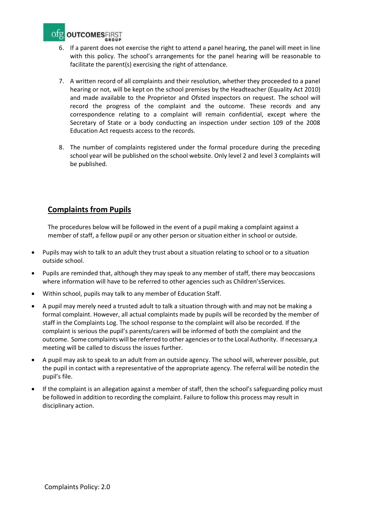

- 6. If a parent does not exercise the right to attend a panel hearing, the panel will meet in line with this policy. The school's arrangements for the panel hearing will be reasonable to facilitate the parent(s) exercising the right of attendance.
- 7. A written record of all complaints and their resolution, whether they proceeded to a panel hearing or not, will be kept on the school premises by the Headteacher (Equality Act 2010) and made available to the Proprietor and Ofsted inspectors on request. The school will record the progress of the complaint and the outcome. These records and any correspondence relating to a complaint will remain confidential, except where the Secretary of State or a body conducting an inspection under section 109 of the 2008 Education Act requests access to the records.
- 8. The number of complaints registered under the formal procedure during the preceding school year will be published on the school website. Only level 2 and level 3 complaints will be published.

# **Complaints from Pupils**

The procedures below will be followed in the event of a pupil making a complaint against a member of staff, a fellow pupil or any other person or situation either in school or outside.

- Pupils may wish to talk to an adult they trust about a situation relating to school or to a situation outside school.
- Pupils are reminded that, although they may speak to any member of staff, there may beoccasions where information will have to be referred to other agencies such as Children'sServices.
- Within school, pupils may talk to any member of Education Staff.
- A pupil may merely need a trusted adult to talk a situation through with and may not be making a formal complaint. However, all actual complaints made by pupils will be recorded by the member of staff in the Complaints Log. The school response to the complaint will also be recorded. If the complaint is serious the pupil's parents/carers will be informed of both the complaint and the outcome. Some complaints will be referred to other agencies orto the Local Authority. If necessary,a meeting will be called to discuss the issues further.
- A pupil may ask to speak to an adult from an outside agency. The school will, wherever possible, put the pupil in contact with a representative of the appropriate agency. The referral will be notedin the pupil's file.
- If the complaint is an allegation against a member of staff, then the school's safeguarding policy must be followed in addition to recording the complaint. Failure to follow this process may result in disciplinary action.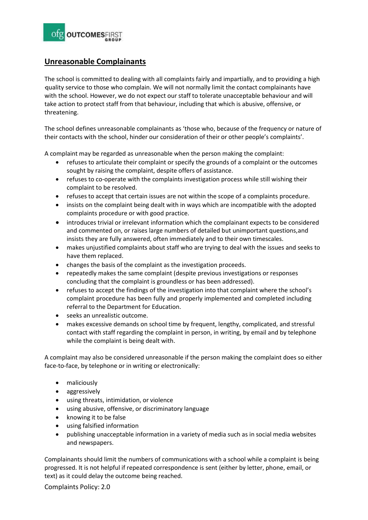

## **Unreasonable Complainants**

The school is committed to dealing with all complaints fairly and impartially, and to providing a high -quality service to those who complain. We will not normally limit the contact complainants have with the school. However, we do not expect our staff to tolerate unacceptable behaviour and will take action to protect staff from that behaviour, including that which is abusive, offensive, or threatening.

The school defines unreasonable complainants as 'those who, because of the frequency or nature of their contacts with the school, hinder our consideration of their or other people's complaints'.

A complaint may be regarded as unreasonable when the person making the complaint:

- refuses to articulate their complaint or specify the grounds of a complaint or the outcomes sought by raising the complaint, despite offers of assistance.
- refuses to co-operate with the complaints investigation process while still wishing their complaint to be resolved.
- refuses to accept that certain issues are not within the scope of a complaints procedure.
- insists on the complaint being dealt with in ways which are incompatible with the adopted complaints procedure or with good practice.
- introduces trivial or irrelevant information which the complainant expects to be considered and commented on, or raises large numbers of detailed but unimportant questions,and insists they are fully answered, often immediately and to their own timescales.
- makes unjustified complaints about staff who are trying to deal with the issues and seeks to have them replaced.
- changes the basis of the complaint as the investigation proceeds.
- repeatedly makes the same complaint (despite previous investigations or responses concluding that the complaint is groundless or has been addressed).
- refuses to accept the findings of the investigation into that complaint where the school's complaint procedure has been fully and properly implemented and completed including referral to the Department for Education.
- seeks an unrealistic outcome.
- makes excessive demands on school time by frequent, lengthy, complicated, and stressful contact with staff regarding the complaint in person, in writing, by email and by telephone while the complaint is being dealt with.

A complaint may also be considered unreasonable if the person making the complaint does so either face-to-face, by telephone or in writing or electronically:

- maliciously
- aggressively
- using threats, intimidation, or violence
- using abusive, offensive, or discriminatory language
- knowing it to be false
- using falsified information
- publishing unacceptable information in a variety of media such as in social media websites and newspapers.

Complainants should limit the numbers of communications with a school while a complaint is being progressed. It is not helpful if repeated correspondence is sent (either by letter, phone, email, or text) as it could delay the outcome being reached.

Complaints Policy: 2.0